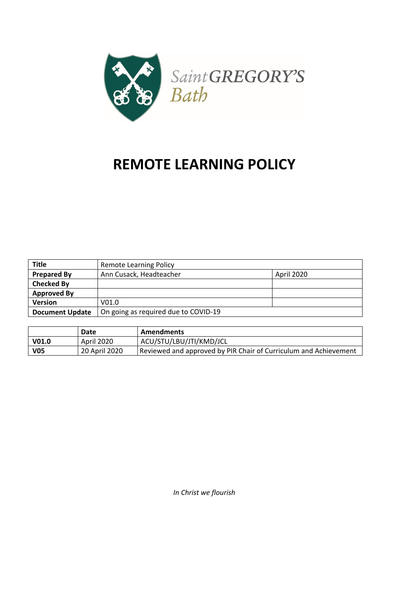

# **REMOTE LEARNING POLICY**

| <b>Title</b>           | <b>Remote Learning Policy</b>        |            |
|------------------------|--------------------------------------|------------|
| <b>Prepared By</b>     | Ann Cusack, Headteacher              | April 2020 |
| <b>Checked By</b>      |                                      |            |
| <b>Approved By</b>     |                                      |            |
| <b>Version</b>         | V <sub>01.0</sub>                    |            |
| <b>Document Update</b> | On going as required due to COVID-19 |            |

|                   | Date          | <b>Amendments</b>                                                |
|-------------------|---------------|------------------------------------------------------------------|
| V <sub>01.0</sub> | April 2020    | ACU/STU/LBU/JTI/KMD/JCL                                          |
| <b>V05</b>        | 20 April 2020 | Reviewed and approved by PIR Chair of Curriculum and Achievement |

*In Christ we flourish*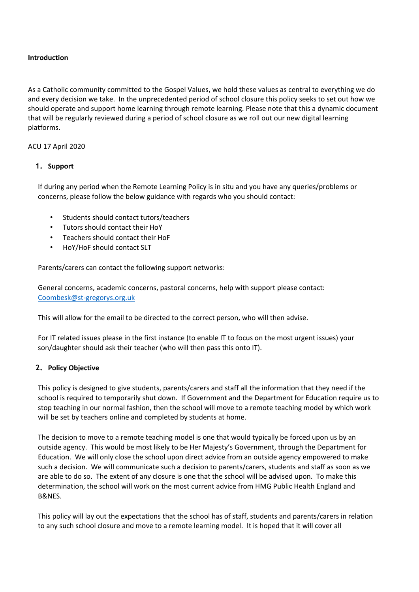### **Introduction**

As a Catholic community committed to the Gospel Values, we hold these values as central to everything we do and every decision we take. In the unprecedented period of school closure this policy seeks to set out how we should operate and support home learning through remote learning. Please note that this a dynamic document that will be regularly reviewed during a period of school closure as we roll out our new digital learning platforms.

## ACU 17 April 2020

# **1. Support**

If during any period when the Remote Learning Policy is in situ and you have any queries/problems or concerns, please follow the below guidance with regards who you should contact:

- Students should contact tutors/teachers
- Tutors should contact their HoY
- Teachers should contact their HoF
- HoY/HoF should contact SLT

Parents/carers can contact the following support networks:

General concerns, academic concerns, pastoral concerns, help with support please contact: Coombesk@st-gregorys.org.uk

This will allow for the email to be directed to the correct person, who will then advise.

For IT related issues please in the first instance (to enable IT to focus on the most urgent issues) your son/daughter should ask their teacher (who will then pass this onto IT).

# **2. Policy Objective**

This policy is designed to give students, parents/carers and staff all the information that they need if the school is required to temporarily shut down. If Government and the Department for Education require us to stop teaching in our normal fashion, then the school will move to a remote teaching model by which work will be set by teachers online and completed by students at home.

The decision to move to a remote teaching model is one that would typically be forced upon us by an outside agency. This would be most likely to be Her Majesty's Government, through the Department for Education. We will only close the school upon direct advice from an outside agency empowered to make such a decision. We will communicate such a decision to parents/carers, students and staff as soon as we are able to do so. The extent of any closure is one that the school will be advised upon. To make this determination, the school will work on the most current advice from HMG Public Health England and B&NES.

This policy will lay out the expectations that the school has of staff, students and parents/carers in relation to any such school closure and move to a remote learning model. It is hoped that it will cover all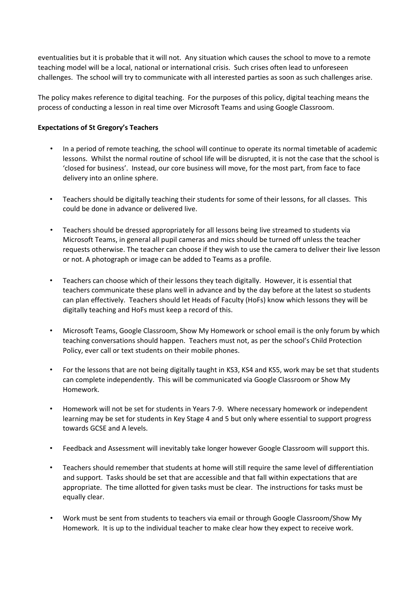eventualities but it is probable that it will not. Any situation which causes the school to move to a remote teaching model will be a local, national or international crisis. Such crises often lead to unforeseen challenges. The school will try to communicate with all interested parties as soon as such challenges arise.

The policy makes reference to digital teaching. For the purposes of this policy, digital teaching means the process of conducting a lesson in real time over Microsoft Teams and using Google Classroom.

## **Expectations of St Gregory's Teachers**

- In a period of remote teaching, the school will continue to operate its normal timetable of academic lessons. Whilst the normal routine of school life will be disrupted, it is not the case that the school is 'closed for business'. Instead, our core business will move, for the most part, from face to face delivery into an online sphere.
- Teachers should be digitally teaching their students for some of their lessons, for all classes. This could be done in advance or delivered live.
- Teachers should be dressed appropriately for all lessons being live streamed to students via Microsoft Teams, in general all pupil cameras and mics should be turned off unless the teacher requests otherwise. The teacher can choose if they wish to use the camera to deliver their live lesson or not. A photograph or image can be added to Teams as a profile.
- Teachers can choose which of their lessons they teach digitally. However, it is essential that teachers communicate these plans well in advance and by the day before at the latest so students can plan effectively. Teachers should let Heads of Faculty (HoFs) know which lessons they will be digitally teaching and HoFs must keep a record of this.
- Microsoft Teams, Google Classroom, Show My Homework or school email is the only forum by which teaching conversations should happen. Teachers must not, as per the school's Child Protection Policy, ever call or text students on their mobile phones.
- For the lessons that are not being digitally taught in KS3, KS4 and KS5, work may be set that students can complete independently. This will be communicated via Google Classroom or Show My Homework.
- Homework will not be set for students in Years 7-9. Where necessary homework or independent learning may be set for students in Key Stage 4 and 5 but only where essential to support progress towards GCSE and A levels.
- Feedback and Assessment will inevitably take longer however Google Classroom will support this.
- Teachers should remember that students at home will still require the same level of differentiation and support. Tasks should be set that are accessible and that fall within expectations that are appropriate. The time allotted for given tasks must be clear. The instructions for tasks must be equally clear.
- Work must be sent from students to teachers via email or through Google Classroom/Show My Homework. It is up to the individual teacher to make clear how they expect to receive work.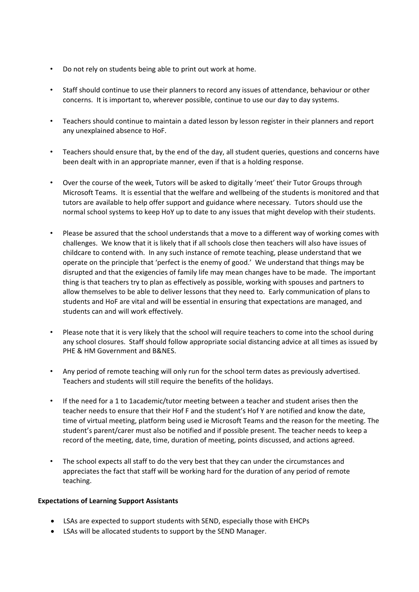- Do not rely on students being able to print out work at home.
- Staff should continue to use their planners to record any issues of attendance, behaviour or other concerns. It is important to, wherever possible, continue to use our day to day systems.
- Teachers should continue to maintain a dated lesson by lesson register in their planners and report any unexplained absence to HoF.
- Teachers should ensure that, by the end of the day, all student queries, questions and concerns have been dealt with in an appropriate manner, even if that is a holding response.
- Over the course of the week, Tutors will be asked to digitally 'meet' their Tutor Groups through Microsoft Teams. It is essential that the welfare and wellbeing of the students is monitored and that tutors are available to help offer support and guidance where necessary. Tutors should use the normal school systems to keep HoY up to date to any issues that might develop with their students.
- Please be assured that the school understands that a move to a different way of working comes with challenges. We know that it is likely that if all schools close then teachers will also have issues of childcare to contend with. In any such instance of remote teaching, please understand that we operate on the principle that 'perfect is the enemy of good.' We understand that things may be disrupted and that the exigencies of family life may mean changes have to be made. The important thing is that teachers try to plan as effectively as possible, working with spouses and partners to allow themselves to be able to deliver lessons that they need to. Early communication of plans to students and HoF are vital and will be essential in ensuring that expectations are managed, and students can and will work effectively.
- Please note that it is very likely that the school will require teachers to come into the school during any school closures. Staff should follow appropriate social distancing advice at all times as issued by PHE & HM Government and B&NES.
- Any period of remote teaching will only run for the school term dates as previously advertised. Teachers and students will still require the benefits of the holidays.
- If the need for a 1 to 1academic/tutor meeting between a teacher and student arises then the teacher needs to ensure that their Hof F and the student's Hof Y are notified and know the date, time of virtual meeting, platform being used ie Microsoft Teams and the reason for the meeting. The student's parent/carer must also be notified and if possible present. The teacher needs to keep a record of the meeting, date, time, duration of meeting, points discussed, and actions agreed.
- The school expects all staff to do the very best that they can under the circumstances and appreciates the fact that staff will be working hard for the duration of any period of remote teaching.

#### **Expectations of Learning Support Assistants**

- LSAs are expected to support students with SEND, especially those with EHCPs
- LSAs will be allocated students to support by the SEND Manager.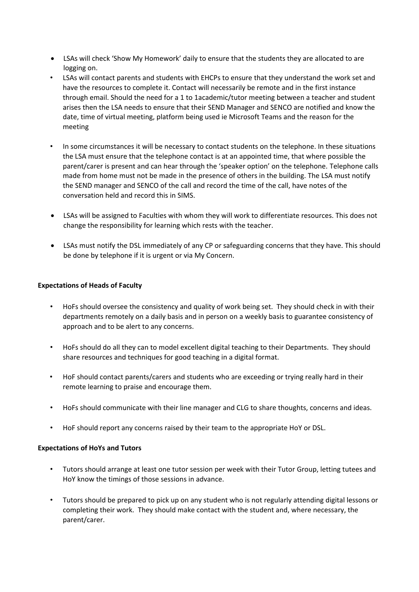- LSAs will check 'Show My Homework' daily to ensure that the students they are allocated to are logging on.
- LSAs will contact parents and students with EHCPs to ensure that they understand the work set and have the resources to complete it. Contact will necessarily be remote and in the first instance through email. Should the need for a 1 to 1academic/tutor meeting between a teacher and student arises then the LSA needs to ensure that their SEND Manager and SENCO are notified and know the date, time of virtual meeting, platform being used ie Microsoft Teams and the reason for the meeting
- In some circumstances it will be necessary to contact students on the telephone. In these situations the LSA must ensure that the telephone contact is at an appointed time, that where possible the parent/carer is present and can hear through the 'speaker option' on the telephone. Telephone calls made from home must not be made in the presence of others in the building. The LSA must notify the SEND manager and SENCO of the call and record the time of the call, have notes of the conversation held and record this in SIMS.
- LSAs will be assigned to Faculties with whom they will work to differentiate resources. This does not change the responsibility for learning which rests with the teacher.
- LSAs must notify the DSL immediately of any CP or safeguarding concerns that they have. This should be done by telephone if it is urgent or via My Concern.

# **Expectations of Heads of Faculty**

- HoFs should oversee the consistency and quality of work being set. They should check in with their departments remotely on a daily basis and in person on a weekly basis to guarantee consistency of approach and to be alert to any concerns.
- HoFs should do all they can to model excellent digital teaching to their Departments. They should share resources and techniques for good teaching in a digital format.
- HoF should contact parents/carers and students who are exceeding or trying really hard in their remote learning to praise and encourage them.
- HoFs should communicate with their line manager and CLG to share thoughts, concerns and ideas.
- HoF should report any concerns raised by their team to the appropriate HoY or DSL.

#### **Expectations of HoYs and Tutors**

- Tutors should arrange at least one tutor session per week with their Tutor Group, letting tutees and HoY know the timings of those sessions in advance.
- Tutors should be prepared to pick up on any student who is not regularly attending digital lessons or completing their work. They should make contact with the student and, where necessary, the parent/carer.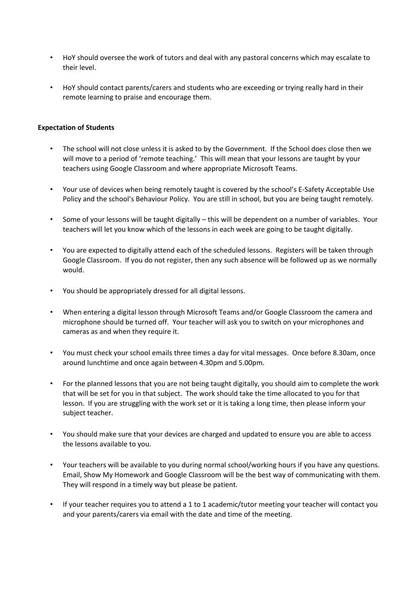- HoY should oversee the work of tutors and deal with any pastoral concerns which may escalate to their level.
- HoY should contact parents/carers and students who are exceeding or trying really hard in their remote learning to praise and encourage them.

## **Expectation of Students**

- The school will not close unless it is asked to by the Government. If the School does close then we will move to a period of 'remote teaching.' This will mean that your lessons are taught by your teachers using Google Classroom and where appropriate Microsoft Teams.
- Your use of devices when being remotely taught is covered by the school's E-Safety Acceptable Use Policy and the school's Behaviour Policy. You are still in school, but you are being taught remotely.
- Some of your lessons will be taught digitally this will be dependent on a number of variables. Your teachers will let you know which of the lessons in each week are going to be taught digitally.
- You are expected to digitally attend each of the scheduled lessons. Registers will be taken through Google Classroom. If you do not register, then any such absence will be followed up as we normally would.
- You should be appropriately dressed for all digital lessons.
- When entering a digital lesson through Microsoft Teams and/or Google Classroom the camera and microphone should be turned off. Your teacher will ask you to switch on your microphones and cameras as and when they require it.
- You must check your school emails three times a day for vital messages. Once before 8.30am, once around lunchtime and once again between 4.30pm and 5.00pm.
- For the planned lessons that you are not being taught digitally, you should aim to complete the work that will be set for you in that subject. The work should take the time allocated to you for that lesson. If you are struggling with the work set or it is taking a long time, then please inform your subject teacher.
- You should make sure that your devices are charged and updated to ensure you are able to access the lessons available to you.
- Your teachers will be available to you during normal school/working hours if you have any questions. Email, Show My Homework and Google Classroom will be the best way of communicating with them. They will respond in a timely way but please be patient.
- If your teacher requires you to attend a 1 to 1 academic/tutor meeting your teacher will contact you and your parents/carers via email with the date and time of the meeting.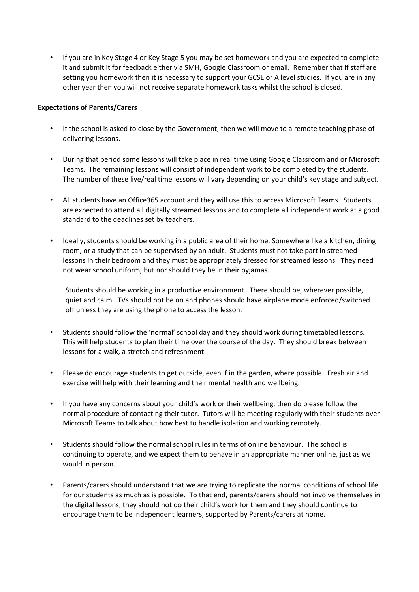• If you are in Key Stage 4 or Key Stage 5 you may be set homework and you are expected to complete it and submit it for feedback either via SMH, Google Classroom or email. Remember that if staff are setting you homework then it is necessary to support your GCSE or A level studies. If you are in any other year then you will not receive separate homework tasks whilst the school is closed.

## **Expectations of Parents/Carers**

- If the school is asked to close by the Government, then we will move to a remote teaching phase of delivering lessons.
- During that period some lessons will take place in real time using Google Classroom and or Microsoft Teams. The remaining lessons will consist of independent work to be completed by the students. The number of these live/real time lessons will vary depending on your child's key stage and subject.
- All students have an Office365 account and they will use this to access Microsoft Teams. Students are expected to attend all digitally streamed lessons and to complete all independent work at a good standard to the deadlines set by teachers.
- Ideally, students should be working in a public area of their home. Somewhere like a kitchen, dining room, or a study that can be supervised by an adult. Students must not take part in streamed lessons in their bedroom and they must be appropriately dressed for streamed lessons. They need not wear school uniform, but nor should they be in their pyjamas.

Students should be working in a productive environment. There should be, wherever possible, quiet and calm. TVs should not be on and phones should have airplane mode enforced/switched off unless they are using the phone to access the lesson.

- Students should follow the 'normal' school day and they should work during timetabled lessons. This will help students to plan their time over the course of the day. They should break between lessons for a walk, a stretch and refreshment.
- Please do encourage students to get outside, even if in the garden, where possible. Fresh air and exercise will help with their learning and their mental health and wellbeing.
- If you have any concerns about your child's work or their wellbeing, then do please follow the normal procedure of contacting their tutor. Tutors will be meeting regularly with their students over Microsoft Teams to talk about how best to handle isolation and working remotely.
- Students should follow the normal school rules in terms of online behaviour. The school is continuing to operate, and we expect them to behave in an appropriate manner online, just as we would in person.
- Parents/carers should understand that we are trying to replicate the normal conditions of school life for our students as much as is possible. To that end, parents/carers should not involve themselves in the digital lessons, they should not do their child's work for them and they should continue to encourage them to be independent learners, supported by Parents/carers at home.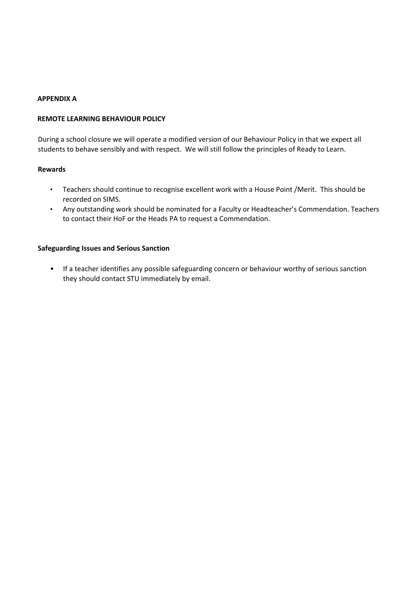#### **APPENDIX A**

#### **REMOTE LEARNING BEHAVIOUR POLICY**

During a school closure we will operate a modified version of our Behaviour Policy in that we expect all students to behave sensibly and with respect. We will still follow the principles of Ready to Learn.

#### **Rewards**

- Teachers should continue to recognise excellent work with a House Point /Merit. This should be recorded on SIMS.
- Any outstanding work should be nominated for a Faculty or Headteacher's Commendation. Teachers to contact their HoF or the Heads PA to request a Commendation.

#### **Safeguarding Issues and Serious Sanction**

• If a teacher identifies any possible safeguarding concern or behaviour worthy of serious sanction they should contact STU immediately by email.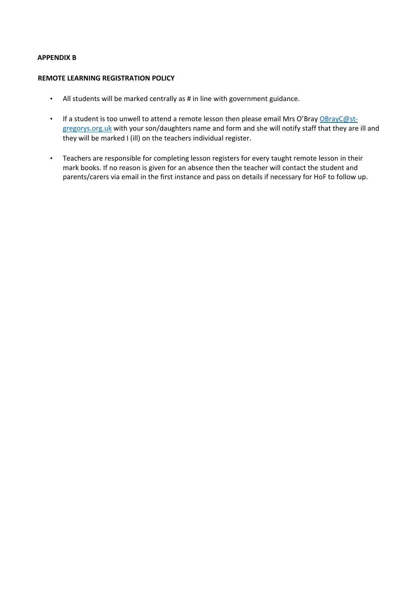# **APPENDIX B**

#### **REMOTE LEARNING REGISTRATION POLICY**

- All students will be marked centrally as # in line with government guidance.
- If a student is too unwell to attend a remote lesson then please email Mrs O'Bray [OBrayC@st](mailto:OBrayC@st-gregorys.org.uk)[gregorys.org.uk](mailto:OBrayC@st-gregorys.org.uk) with your son/daughters name and form and she will notify staff that they are ill and they will be marked I (ill) on the teachers individual register.
- Teachers are responsible for completing lesson registers for every taught remote lesson in their mark books. If no reason is given for an absence then the teacher will contact the student and parents/carers via email in the first instance and pass on details if necessary for HoF to follow up.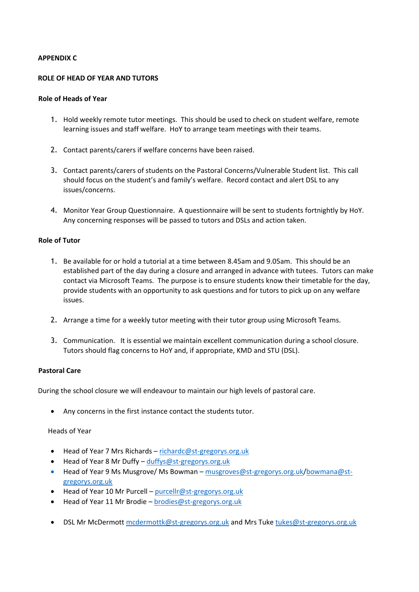#### **APPENDIX C**

#### **ROLE OF HEAD OF YEAR AND TUTORS**

#### **Role of Heads of Year**

- 1. Hold weekly remote tutor meetings. This should be used to check on student welfare, remote learning issues and staff welfare. HoY to arrange team meetings with their teams.
- 2. Contact parents/carers if welfare concerns have been raised.
- 3. Contact parents/carers of students on the Pastoral Concerns/Vulnerable Student list. This call should focus on the student's and family's welfare. Record contact and alert DSL to any issues/concerns.
- 4. Monitor Year Group Questionnaire. A questionnaire will be sent to students fortnightly by HoY. Any concerning responses will be passed to tutors and DSLs and action taken.

#### **Role of Tutor**

- 1. Be available for or hold a tutorial at a time between 8.45am and 9.05am. This should be an established part of the day during a closure and arranged in advance with tutees. Tutors can make contact via Microsoft Teams. The purpose is to ensure students know their timetable for the day, provide students with an opportunity to ask questions and for tutors to pick up on any welfare issues.
- 2. Arrange a time for a weekly tutor meeting with their tutor group using Microsoft Teams.
- 3. Communication. It is essential we maintain excellent communication during a school closure. Tutors should flag concerns to HoY and, if appropriate, KMD and STU (DSL).

#### **Pastoral Care**

During the school closure we will endeavour to maintain our high levels of pastoral care.

Any concerns in the first instance contact the students tutor.

Heads of Year

- Head of Year 7 Mrs Richards richardc@st-gregorys.org.uk
- Head of Year 8 Mr Duffy duffys@st-gregorys.org.uk
- Head of Year 9 Ms Musgrove/ Ms Bowman musgroves@st-gregorys.org.uk/bowmana@stgregorys.org.uk
- Head of Year 10 Mr Purcell purcellr@st-gregorys.org.uk
- Head of Year 11 Mr Brodie brodies@st-gregorys.org.uk
- DSL Mr McDermott [mcdermottk@st-gregorys.org.uk](mailto:mcdermottk@st-gregorys.org.uk) and Mrs Tuk[e tukes@st-gregorys.org.uk](mailto:tukes@st-gregorys.org.uk)